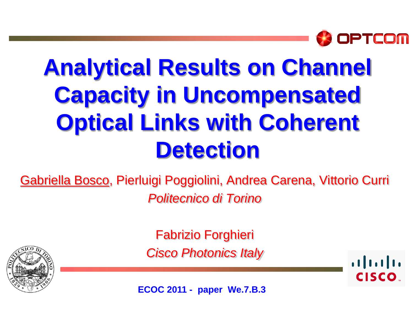

# **Analytical Results on Channel Capacity in Uncompensated Optical Links with Coherent Detection**

Gabriella Bosco, Pierluigi Poggiolini, Andrea Carena, Vittorio Curri *Politecnico di Torino*



Fabrizio Forghieri *Cisco Photonics Italy*

 $\frac{1}{2}$ **CISCO** 

**ECOC 2011 - paper We.7.B.3**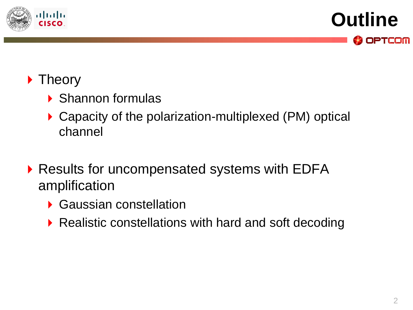

**Outline OPTCOM** 

### **Theory**

- Shannon formulas
- ▶ Capacity of the polarization-multiplexed (PM) optical channel
- ▶ Results for uncompensated systems with EDFA amplification
	- Gaussian constellation
	- ▶ Realistic constellations with hard and soft decoding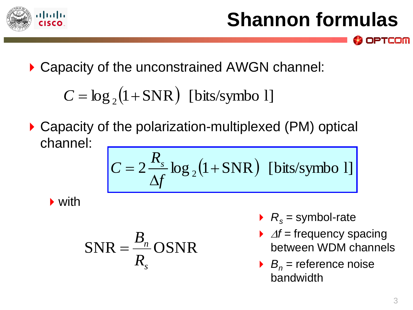

### **Shannon formulas**

▶ Capacity of the unconstrained AWGN channel:

 $C = \log_2(1 + SNR)$  [bits/symbo 1]

▶ Capacity of the polarization-multiplexed (PM) optical channel:

$$
C = 2\frac{R_s}{\Delta f} \log_2(1 + SNR)
$$
 [bits/synbo 1]

▶ with

$$
SNR = \frac{B_n}{R_s} OSNR
$$

- $R_s$  = symbol-rate
- $\rightarrow$   $\varDelta f$  = frequency spacing between WDM channels
- $B_n$  = reference noise bandwidth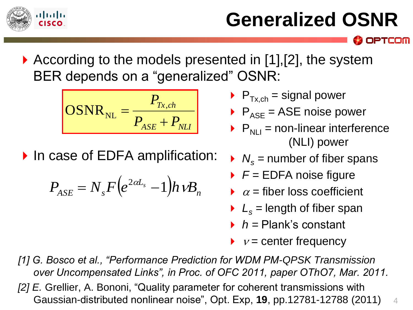

## **Generalized OSNR**

PTCOM

▶ According to the models presented in [1], [2], the system BER depends on a "generalized" OSNR:

$$
OSNR_{NL} = \frac{P_{Tx,ch}}{P_{ASE} + P_{NLI}}
$$

▶ In case of EDFA amplification:

$$
P_{ASE} = N_s F \left( e^{2\alpha L_s} - 1 \right) h \nu B_n
$$

- $\blacktriangleright$  P<sub>Tx,ch</sub> = signal power
- $\triangleright$  P<sub>ASE</sub> = ASE noise power
- $\triangleright$   $P_{N+1}$  = non-linear interference (NLI) power
- $N_s$  = number of fiber spans
- *F =* EDFA noise figure
- $\alpha$  = fiber loss coefficient
- $L<sub>s</sub>$  = length of fiber span
- *h =* Plank's constant
- $\rightarrow$   $v =$  center frequency
- *[1] G. Bosco et al., "Performance Prediction for WDM PM-QPSK Transmission over Uncompensated Links", in Proc. of OFC 2011, paper OThO7, Mar. 2011. [2] E.* Grellier, A. Bononi, "Quality parameter for coherent transmissions with Gaussian-distributed nonlinear noise", Opt. Exp, **19**, pp.12781-12788 (2011) 4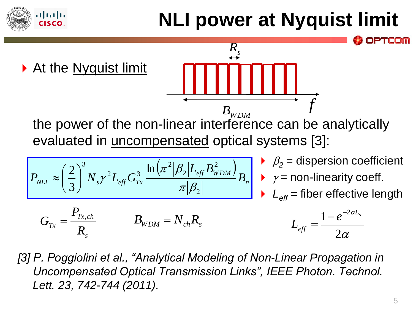## **NLI power at Nyquist limit**



ılı.ılı.

[3] P. Poggiolini et al., "Analytical Modeling of Non-Linear Propagation in *Uncompensated Optical Transmission Links", IEEE Photon. Technol. Lett. 23, 742-744 (2011).*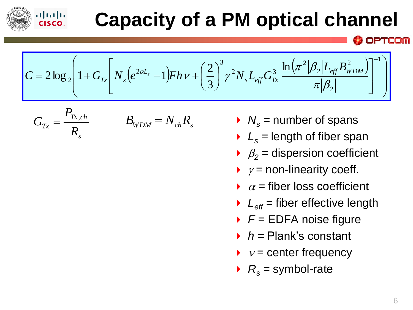

### **Capacity of a PM optical channel**

$$
C = 2 \log_2 \left( 1 + G_{Tx} \left[ N_s \left( e^{2 \alpha L_s} - 1 \right) F h v + \left( \frac{2}{3} \right)^3 \gamma^2 N_s L_{eff} G_{Tx}^3 \frac{\ln \left( \pi^2 |\beta_2| L_{eff} B_{WDM}^2 \right)}{\pi |\beta_2|} \right]^{-1} \right)
$$

$$
G_{Tx} = \frac{P_{Tx,ch}}{R_s} \qquad \qquad B_{WDM} = N_{ch}R_s
$$

- $N_s$  = number of spans
- $L<sub>s</sub>$  = length of fiber span
- $\beta_2$  = dispersion coefficient
- $\rightarrow \gamma$  = non-linearity coeff.
- $\alpha$  = fiber loss coefficient
- $L_{\text{eff}}$  = fiber effective length
- *F =* EDFA noise figure
- *h =* Plank's constant
- $\rightarrow v =$  center frequency
- $R_s$  = symbol-rate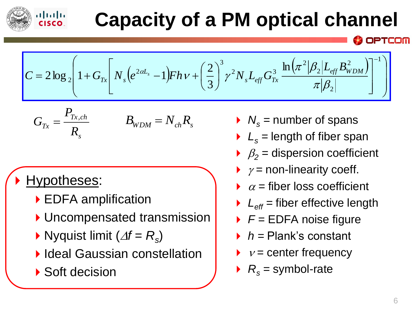

### **Capacity of a PM optical channel**

 $(e^{2\alpha L_s}-1)$  $(\pi^2|\beta_{\gamma}|L_{_{eff}}B^2_{WDM})$ J I I  $\int$  $\left.\rule{0pt}{10pt}\right.$  $\overline{\phantom{a}}$  $\mathbb{R}^2$  $\setminus$  $\sqrt{}$ J J  $\overline{\phantom{a}}$  $\overline{\phantom{a}}$ I  $\overline{\phantom{a}}$ I J  $\int$  $\left.\rule{0pt}{10pt}\right.$   $\setminus$  $\bigg($  $=2\log_{2}|1+G_{T_{Y}}|N_{S}(e^{2\alpha L_{S}}-1)FhV+$  $-1$ 2 2 2 2  $2 N I$   $C^3$ 3 2 2 ln 3 2  $2\log_2 |1 + G_{T_x}| N_s (e^{2\alpha L_s} - 1)$  $\pi|\beta$  $\pi^2|\beta_2$  $\int_{c}^{c} (dL_s - 1) F h v + \left( \frac{2}{2} \right)^3 \gamma^2 N_s L_{eff} G_{Tx}^3 \frac{\ln \left( \pi^2 |\beta_2| L_{eff} B_{WDM}^2 \right)}{2 \left( \pi^2 |\beta_2| \right)}$ *L*  $Tx$ <sup> $I \mathbf{v}$ </sup>s  $L$ <sub>*eff</sub>*  $B$ </sub>  $C = 2 \log_2 |1 + G_{T_x}| N_s (e^{2 \alpha L_s})$  $F h v + \left(\frac{2}{3}\right)^3 \gamma^2 N_s L_{e\!f\!f} G$ 

$$
G_{Tx} = \frac{P_{Tx,ch}}{R_s} \qquad \qquad B_{WDM} = N_{ch}R_s
$$

### Hypotheses:

- ▶ EDFA amplification
- ▶ Uncompensated transmission
- $\blacktriangleright$  Nyquist limit ( $\Delta f = R_s$ )
- **Ideal Gaussian constellation**
- ▶ Soft decision
- $N_s$  = number of spans
- $L<sub>s</sub>$  = length of fiber span
- $\beta_2$  = dispersion coefficient
- $\rightarrow$   $\gamma$  = non-linearity coeff.
- $\alpha$  = fiber loss coefficient
- $L_{\text{eff}}$  = fiber effective length
- *F =* EDFA noise figure
- *h =* Plank's constant
- $\blacktriangleright \; \; \nu =$  center frequency
- $R_s$  = symbol-rate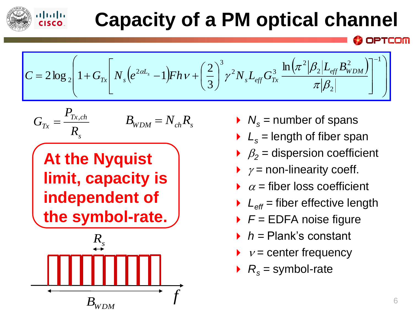

### **Capacity of a PM optical channel**

$$
C = 2 \log_2 \left( 1 + G_{Tx} \left[ N_s \left( e^{2 \alpha L_s} - 1 \right) F h v + \left( \frac{2}{3} \right)^3 \gamma^2 N_s L_{eff} G_{Tx}^3 \frac{\ln \left( \pi^2 |\beta_2| L_{eff} B_{WDM}^2 \right)}{\pi |\beta_2|} \right]^{-1} \right)
$$

$$
G_{Tx} = \frac{P_{Tx,ch}}{R_s} \qquad \qquad B_{WDM} = N_{ch}R_s
$$

**At the Nyquist limit, capacity is independent of the symbol-rate.**



- $N_s$  = number of spans
- $L<sub>s</sub>$  = length of fiber span
- $\beta_2$  = dispersion coefficient
- $\rightarrow \gamma$  = non-linearity coeff.
- $\alpha$  = fiber loss coefficient
- $L_{\text{eff}}$  = fiber effective length
- *F =* EDFA noise figure
- *h =* Plank's constant
- $v =$  center frequency
- $R_s$  = symbol-rate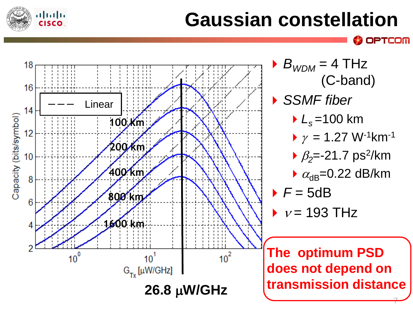

### **Gaussian constellation**

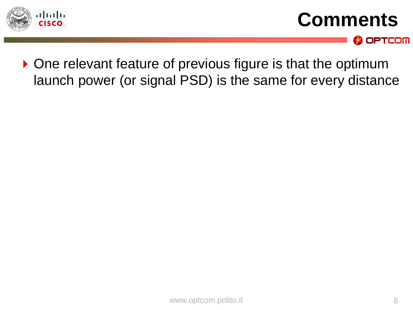

**Comments**



▶ One relevant feature of previous figure is that the optimum launch power (or signal PSD) is the same for every distance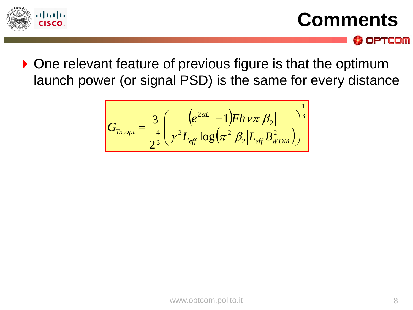

**Comments**

**OPTCOM** 

▶ One relevant feature of previous figure is that the optimum launch power (or signal PSD) is the same for every distance

$$
G_{Tx,opt} = \frac{3}{2^{\frac{4}{3}}} \left( \frac{e^{2\alpha L_s} - 1) F h \nu \pi |\beta_2|}{\gamma^2 L_{eff} \log(\pi^2 |\beta_2| L_{eff} B_{WDM}^2)} \right)^{\frac{1}{3}}
$$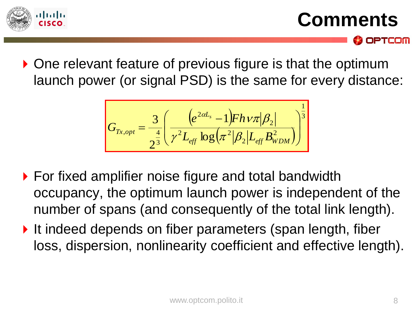

**Comments**

OPTCOM

▶ One relevant feature of previous figure is that the optimum launch power (or signal PSD) is the same for every distance:

$$
G_{Tx,opt} = \frac{3}{2^{\frac{4}{3}}} \left( \frac{e^{2\alpha L_s} - 1) F h \nu \pi |\beta_2|}{\gamma^2 L_{eff} \log(\pi^2 |\beta_2| L_{eff} B_{WDM}^2)} \right)^{\frac{1}{3}}
$$

- ▶ For fixed amplifier noise figure and total bandwidth occupancy, the optimum launch power is independent of the number of spans (and consequently of the total link length).
- It indeed depends on fiber parameters (span length, fiber loss, dispersion, nonlinearity coefficient and effective length).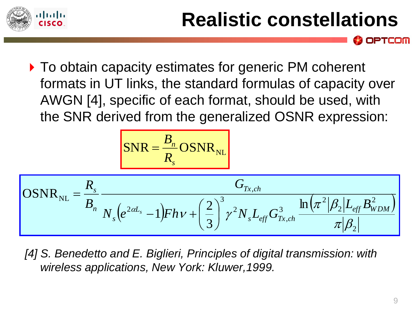

### **Realistic constellations**

▶ To obtain capacity estimates for generic PM coherent formats in UT links, the standard formulas of capacity over AWGN [4], specific of each format, should be used, with the SNR derived from the generalized OSNR expression:

$$
OSNR_{NL} = \frac{R_s}{B_n} \frac{OSNR_{NL}}{N_s (e^{2\alpha L_s} - 1)Fh\nu + \left(\frac{2}{3}\right)^3 \gamma^2 N_s L_{eff} G_{Tx,ch}^3} \frac{\ln(\pi^2|\beta_2|L_{eff} B_{WDM}^2)}{\pi|\beta_2|}
$$

*[4] S. Benedetto and E. Biglieri, Principles of digital transmission: with wireless applications, New York: Kluwer,1999.*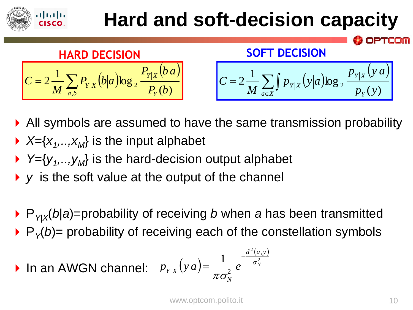### almlu **Hard and soft-decision capacity HARD DECISION SOFT DECISION** $P_{\rm v|x}$   $(b|a)$  $(b|a)$  $p_{y|x}(y|a)$  $(y|a)$  $\left| \frac{1}{C} \sum_{x} P_{y|x} (b|a) \log_{2} \frac{P_{y|x} (b|a)}{P_{y|x} (b|a)} \right| \qquad \left| C = 2 \frac{1}{\pi} \sum_{x} \int_{B_{y|x} (y|a)} p_{y|x} (y|a) \right|$  $2\frac{1}{M}\sum_{i} \int p_{Y|X}(y|a) \log_2 y$  $Y|X$ *Y X*  $=2\frac{1}{M}\sum$  $\sum\int$ *C*  $P_{\rm v|x}$   $(b|a)$  $(b|a)$ *C* =  $p_{y|x}(y|a)$ <sup>2</sup>  $P_Y(b)$  $Y|X$ <sup>(b)(*a*)  $\log_2 P$   $P_Y(b)$ </sup>  $p_Y$   $(Y|U|^{U})^{U}$   $\rightarrow$   $p_Y$   $(y$ *M M*  $(y)$ *a*,*b l*<sub>*Y*</sub> ,  $a \in X$  *P<sub>Y</sub>*  $\in$

- All symbols are assumed to have the same transmission probability
- $\blacktriangleright$  *X*={*x*<sub>1</sub>, ..,*x*<sub>*M*</sub>} is the input alphabet
- ▶ Y={*y*<sub>1</sub>, .., *y*<sub>*M*</sub>} is the hard-decision output alphabet
- *y* is the soft value at the output of the channel
- ▶ P<sub>Y|X</sub>(b|a)=probability of receiving *b* when *a* has been transmitted
- $\rightarrow$  P<sub> $\gamma$ </sub>(b)= probability of receiving each of the constellation symbols

• In an AWGN channel: 
$$
p_{Y|X}(y|a) = \frac{1}{\pi \sigma_N^2} e^{-\frac{d^2(a,y)}{\sigma_N^2}}
$$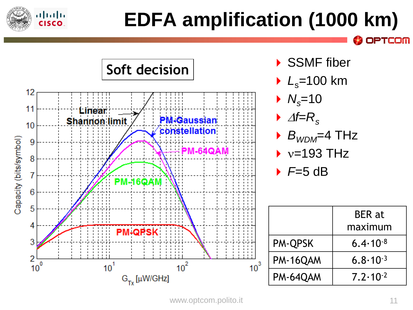

## **EDFA amplification (1000 km)**

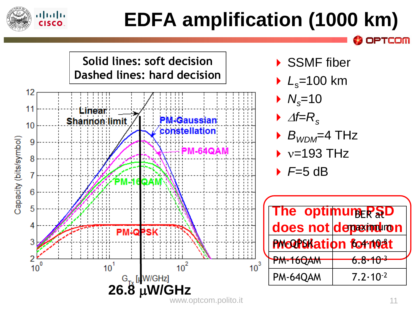

## **EDFA amplification (1000 km)**

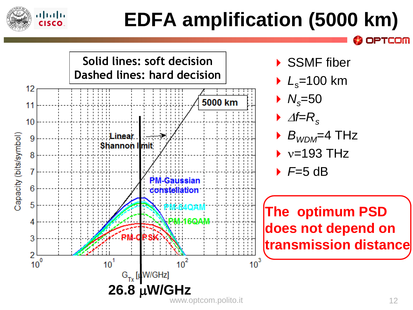

## **EDFA amplification (5000 km)**

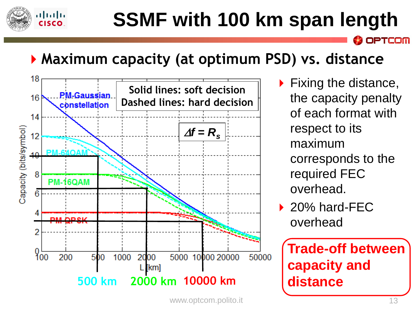

### **SSMF with 100 km span length**

OPTCOM

### **Maximum capacity (at optimum PSD) vs. distance**



 Fixing the distance, the capacity penalty of each format with respect to its maximum corresponds to the required FEC overhead.

▶ 20% hard-FEC overhead

**Trade-off between capacity and distance**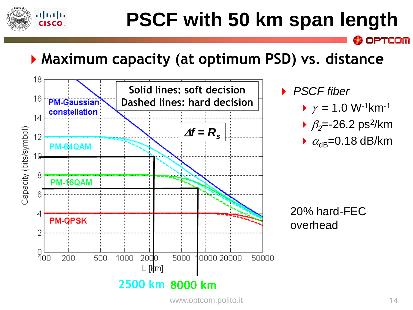

## **PSCF with 50 km span length**

### **Maximum capacity (at optimum PSD) vs. distance**



- *PSCF fiber*
	- $\gamma = 1.0 \text{ W}^{-1} \text{km}^{-1}$

- $\rightarrow \beta_2 = -26.2 \text{ ps}^2/\text{km}$
- $\triangleright$   $\alpha_{\text{dB}}$ =0.18 dB/km

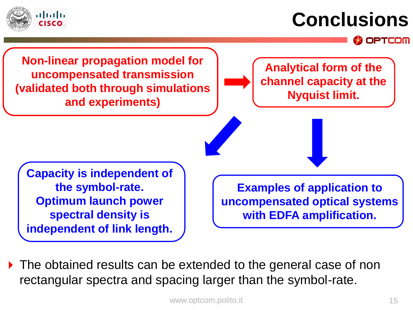

### **Conclusions**

OPTCOM

**Non-linear propagation model for uncompensated transmission (validated both through simulations and experiments)**

**Analytical form of the channel capacity at the Nyquist limit.**

**Capacity is independent of the symbol-rate. Optimum launch power spectral density is independent of link length.**

**Examples of application to uncompensated optical systems with EDFA amplification.**

▶ The obtained results can be extended to the general case of non rectangular spectra and spacing larger than the symbol-rate.